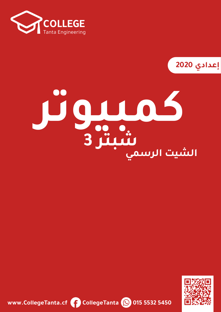

**2020**

# **ƍŽƼǀźƵƮ الشيت الرسميƍžźƓ3**



**www.CollegeTanta.cf CollegeTanta © 015 5532 5450**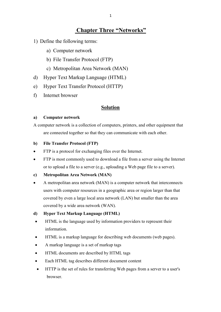# **Chapter Three "Networks"**

- 1) Define the following terms:
	- a) Computer network
	- b) File Transfer Protocol (FTP)
	- c) Metropolitan Area Network (MAN)
- d) Hyper Text Markup Language (HTML)
- e) Hyper Text Transfer Protocol (HTTP)
- f) Internet browser

# **Solution**

### **a) Computer network**

A computer network is a collection of computers, printers, and other equipment that are connected together so that they can communicate with each other.

### **b) File Transfer Protocol (FTP)**

- FTP is a protocol for exchanging files over the Internet.
- FTP is most commonly used to download a file from a server using the Internet or to upload a file to a server (e.g., uploading a Web page file to a server).

### **c) Metropolitan Area Network (MAN)**

• A metropolitan area network (MAN) is a computer network that interconnects users with computer resources in a geographic area or region larger than that covered by even a large local area network (LAN) but smaller than the area covered by a wide area network (WAN).

# **d) Hyper Text Markup Language (HTML)**

- HTML is the language used by information providers to represent their information.
- HTML is a markup language for describing web documents (web pages).
- A markup language is a set of markup tags
- HTML documents are described by HTML tags
- Each HTML tag describes different document content
- HTTP is the set of rules for transferring Web pages from a server to a user's browser.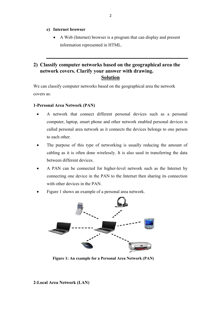- **e) Internet browser**
	- A Web (Internet) browser is a program that can display and present information represented in HTML.

# **2) Classify computer networks based on the geographical area the network covers. Clarify your answer with drawing. Solution**

We can classify computer networks based on the geographical area the network covers as:

# **1-Personal Area Network (PAN)**

- x A network that connect different personal devices such as a personal computer, laptop, smart phone and other network enabled personal devices is called personal area network as it connects the devices belongs to one person to each other.
- The purpose of this type of networking is usually reducing the amount of cabling as it is often done wirelessly. It is also used in transferring the data between different devices.
- x A PAN can be connected for higher-level network such as the Internet by connecting one device in the PAN to the Internet then sharing its connection with other devices in the PAN
- Figure 1 shows an example of a personal area network.



**Figure 1: An example for a Personal Area Network (PAN)**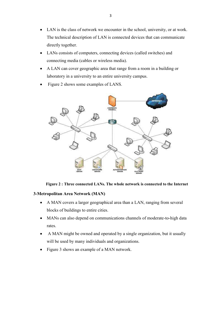- LAN is the class of network we encounter in the school, university, or at work. The technical description of LAN is connected devices that can communicate directly together.
- LANs consists of computers, connecting devices (called switches) and connecting media (cables or wireless media).
- x A LAN can cover geographic area that range from a room in a building or laboratory in a university to an entire university campus.
- Figure 2 shows some examples of LANS.



### **Figure 2 : Three connected LANs. The whole network is connected to the Internet**

# **3-Metropolitan Area Network (MAN)**

- A MAN covers a larger geographical area than a LAN, ranging from several blocks of buildings to entire cities.
- MANs can also depend on communications channels of moderate-to-high data rates.
- A MAN might be owned and operated by a single organization, but it usually will be used by many individuals and organizations.
- Figure 3 shows an example of a MAN network.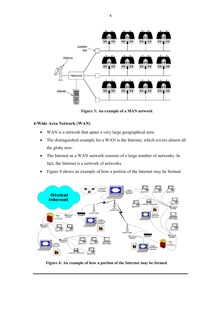

**Figure 3: An example of a MAN network**

# **4-Wide Area Network (WAN)**

- WAN is a network that spans a very large geographical area.
- The distinguished example for a WAN is the Internet, which covers almost all the globe now.
- The Internet as a WAN network consists of a large number of networks. In fact, the Internet is a network of networks.
- Figure 4 shows an example of how a portion of the Internet may be formed.



**Figure 4: An example of how a portion of the Internet may be formed**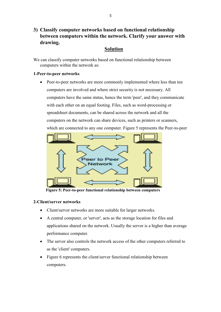# **3) Classify computer networks based on functional relationship between computers within the network. Clarify your answer with drawing.**

# **Solution**

We can classify computer networks based on functional relationship between computers within the network as:

# **1-Peer-to-peer networks**

Peer-to-peer networks are more commonly implemented where less than ten computers are involved and where strict security is not necessary. All computers have the same status, hence the term 'peer', and they communicate with each other on an equal footing. Files, such as word-processing or spreadsheet documents, can be shared across the network and all the computers on the network can share devices, such as printers or scanners, which are connected to any one computer. Figure 5 represents the Peer-to-peer



**Figure 5: Peer-to-peer functional relationship between computers**

# **2-Client/server networks**

- Client/server networks are more suitable for larger networks.
- A central computer, or 'server', acts as the storage location for files and applications shared on the network. Usually the server is a higher than average performance computer.
- The server also controls the network access of the other computers referred to as the 'client' computers.
- Figure 6 represents the client/server functional relationship between computers.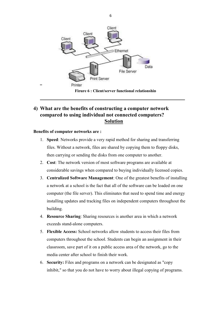

# **4) What are the benefits of constructing a computer network compared to using individual not connected computers? Solution**

### **Benefits of computer networks are :**

- 1. **Speed**: Networks provide a very rapid method for sharing and transferring files. Without a network, files are shared by copying them to floppy disks, then carrying or sending the disks from one computer to another.
- 2. **Cost**: The network version of most software programs are available at considerable savings when compared to buying individually licensed copies.
- 3. **Centralized Software Management**: One of the greatest benefits of installing a network at a school is the fact that all of the software can be loaded on one computer (the file server). This eliminates that need to spend time and energy installing updates and tracking files on independent computers throughout the building.
- 4. **Resource Sharing**: Sharing resources is another area in which a network exceeds stand-alone computers.
- 5. **Flexible Access:** School networks allow students to access their files from computers throughout the school. Students can begin an assignment in their classroom, save part of it on a public access area of the network, go to the media center after school to finish their work.
- 6. **Security:** Files and programs on a network can be designated as "copy inhibit," so that you do not have to worry about illegal copying of programs.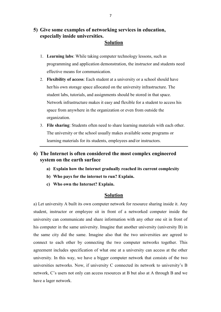# **5) Give some examples of networking services in education, especially inside universities.**

# **Solution**

- 1. **Learning labs**: While taking computer technology lessons, such as programming and application demonstration, the instructor and students need effective means for communication.
- 2. **Flexibility of access**: Each student at a university or a school should have her/his own storage space allocated on the university infrastructure. The student labs, tutorials, and assignments should be stored in that space. Network infrastructure makes it easy and flexible for a student to access his space from anywhere in the organization or even from outside the organization.
- 3. **File sharing**: Students often need to share learning materials with each other. The university or the school usually makes available some programs or learning materials for its students, employees and/or instructors.

# **6) The Internet is often considered the most complex engineered system on the earth surface**

- **a) Explain how the Internet gradually reached its current complexity**
- **b) Who pays for the internet to run? Explain.**
- **c) Who own the Internet? Explain.**

# **Solution**

a) Let university A built its own computer network for resource sharing inside it. Any student, instructor or employee sit in front of a networked computer inside the university can communicate and share information with any other one sit in front of his computer in the same university. Imagine that another university (university B) in the same city did the same. Imagine also that the two universities are agreed to connect to each other by connecting the two computer networks together. This agreement includes specification of what one at a university can access at the other university. In this way, we have a bigger computer network that consists of the two universities networks. Now, if university C connected its network to university's B network, C's users not only can access resources at B but also at A through B and we have a lager network.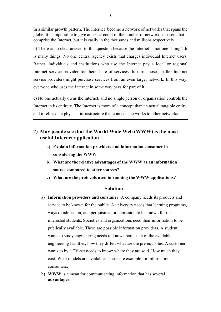In a similar growth pattern, The Internet become a network of networks that spans the globe. It is impossible to give an exact count of the number of networks or users that comprise the Internet, but it is easily in the thousands and millions respectively.

b) There is no clear answer to this question because the Internet is not one "thing". It is many things. No one central agency exists that charges individual Internet users. Rather, individuals and institutions who use the Internet pay a local or regional Internet service provider for their share of services. In turn, those smaller Internet service providers might purchase services from an even larger network. In this way, everyone who uses the Internet in some way pays for part of it.

c) No one actually owns the Internet, and no single person or organization controls the Internet in its entirety. The Internet is more of a concept than an actual tangible entity, and it relies on a physical infrastructure that connects networks to other networks.

# **7) May people see that the World Wide Web (WWW) is the most useful Internet application**

- **a) Explain information providers and information consumer in considering the WWW**
- **b) What are the relative advantages of the WWW as an information source compared to other sources?**
- **c) What are the protocols used in running the WWW applications?**

# **Solution**

- a) **Information providers and consumer**: A company needs its products and service to be known for the public. A university needs that learning programs, ways of admission, and perquisites for admission to be known for the interested students. Societies and organizations need their information to be publically available. These are possible information providers. A student wants to study engineering needs to know about each of the available engineering faculties, how they differ, what are the prerequisites. A customer wants to by a TV-set needs to know: where they are sold. How much they cost. What models are available? These are example for information consumers.
- b) **WWW** is a mean for communicating information that has several **advantages**: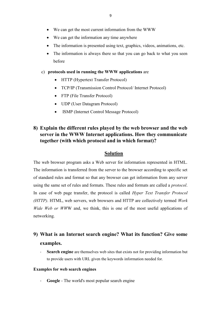- We can get the most current information from the WWW
- We can get the information any time anywhere
- The information is presented using text, graphics, videos, animations, etc.
- The information is always there so that you can go back to what you seen before
- c) **protocols used in running the WWW applications** are
	- HTTP (Hypertext Transfer Protocol)
	- TCP/IP (Transmission Control Protocol/ Internet Protocol)
	- FTP (File Transfer Protocol)
	- UDP (User Datagram Protocol)
	- ISMP (Internet Control Message Protocol)

# **8) Explain the different rules played by the web browser and the web server in the WWW Internet applications. How they communicate together (with which protocol and in which format)?**

# **Solution**

The web browser program asks a Web server for information represented in HTML. The information is transferred from the server to the browser according to specific set of standard rules and format so that any browser can get information from any server using the same set of rules and formats. These rules and formats are called a *protocol*. In case of web page transfer, the protocol is called *Hyper Text Transfer Protocol (HTTP)*. HTML, web servers, web browsers and HTTP are collectively termed *Work Wide Web or WW*W and, we think, this is one of the most useful applications of networking.

# **9) What is an Internet search engine? What its function? Give some examples.**

Search engine are themselves web sites that exists not for providing information but to provide users with URL given the keywords information needed for.

### **Examples for web search engines**

Google - The world's most popular search engine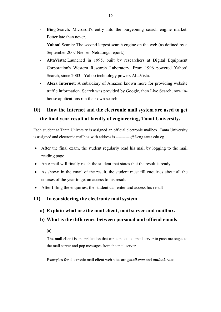- **Bing** Search: Microsoft's entry into the burgeoning search engine market. Better late than never.
- Yahoo! Search: The second largest search engine on the web (as defined by a September 2007 Nielsen Netratings report.)
- AltaVista: Launched in 1995, built by researchers at Digital Equipment Corporation's Western Research Laboratory. From 1996 powered Yahoo! Search, since 2003 - Yahoo technology powers AltaVista.
- **Alexa Internet:** A subsidiary of Amazon known more for providing website traffic information. Search was provided by Google, then Live Search, now inhouse applications run their own search.

# **10) How the Internet and the electronic mail system are used to get the final year result at faculty of engineering, Tanat University.**

Each student at Tanta University is assigned an official electronic mailbox. Tanta University is assigned and electronic mailbox with address is -----------@f-eng.tanta.edu.eg

- After the final exam, the student regularly read his mail by logging to the mail reading page .
- An e-mail will finally reach the student that states that the result is ready
- As shown in the email of the result, the student must fill enquiries about all the courses of the year to get an access to his result
- After filling the enquiries, the student can enter and access his result
- **11) In considering the electronic mail system**
	- **a) Explain what are the mail client, mail server and mailbox.**
	- **b) What is the difference between personal and official emails**
		- (a)
	- The mail client is an application that can contact to a mail server to push messages to the mail server and pop messages from the mail server.

Examples for electronic mail client web sites are *gmail.com* and *outlook.com*.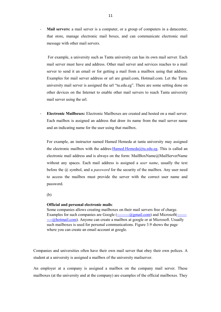**Mail servers:** a mail server is a computer, or a group of computers in a datacenter, that store, manage electronic mail boxes, and can communicate electronic mail message with other mail servers.

For example, a university such as Tanta university can has its own mail server. Each mail server must have and address. Other mail server and services reaches to a mail server to send it an email or for getting a mail from a mailbox using that address. Examples for mail server address or url are gmail.com, Hotmail.com. Let the Tanta university mail server is assigned the url "tu.edu.eg". There are some setting done on other devices on the Internet to enable other mail servers to reach Tanta university mail server using the url.

**Electronic Mailboxes:** Electronic Mailboxes are created and hosted on a mail server. Each mailbox is assigned an address that draw its name from the mail server name and an indicating name for the user using that mailbox.

For example, an instructor named Hamed Hemeda at tanta university may assigned the electronic mailbox with the addres: Hamed. Hemeda $\omega$ tu.edu.eg. This is called an electronic mail address and is always on the form: MailBoxName@MailServerName without any spaces. Each mail address is assigned a *user name*, usually the text before the @ symbol, and a *password* for the security of the mailbox. Any user need to access the mailbox must provide the server with the correct user name and password.

(b)

### **Official and personal electronic mails**:

Some companies allows creating mailboxes on their mail servers free of charge. Examples for such companies are Google (---------@gmail.com) and Microsoft(-------  $---(a)$ hotmail.com). Anyone can create a mailbox at google or at Microsoft. Usually such mailboxes is used for personal communications. Figure 3.9 shows the page where you can create an email account at google.

Companies and universities often have their own mail server that obey their own polices. A student at a university is assigned a mailbox of the university mailserver.

An employer at a company is assigned a mailbox on the company mail server. These mailboxes (at the university and at the company) are examples of the official mailboxes. They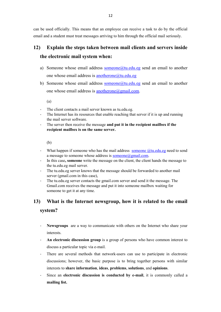can be used officially. This means that an employee can receive a task to do by the official email and a student must treat messages arriving to him through the official mail seriously.

# **12) Explain the steps taken between mail clients and servers inside the electronic mail system when:**

- a) Someone whose email address someone@tu.edu.eg send an email to another one whose email address is anotherone@tu.edu.eg
- b) Someone whose email address someone@tu.edu.eg send an email to another one whose email address is anotherone@gmail.com.

(a)

- The client contacts a mail server known as tu.edu.eg.
- The Internet has its resources that enable reaching that server if it is up and running the mail server software.
- The server then receive the message **and put it in the recipient mailbox if the recipient mailbox is on the same server.**

(b)

- What happen if someone who has the mail address someone  $@t u$ .edu.eg need to send a message to someone whose address is  $\overline{\text{someone}}$  ( $\alpha$ gmail.com.
- Ͳ In this case**, someone** write the message on the client, the client hands the message to the tu.edu.eg mail server.
- The tu.edu.eg server knows that the message should be forwarded to another mail server (gmail.com in this case),
- The tu.edu.eg server contacts the gmail.com server and send it the message. The Gmail.com receives the message and put it into someone mailbox waiting for someone to get it at any time.

# **13) What is the Internet newsgroup, how it is related to the email**

# **system?**

- **Newsgroups** are a way to communicate with others on the Internet who share your interests.
- An electronic discussion group is a group of persons who have common interest to discuss a particular topic via e-mail.
- There are several methods that network-users can use to participate in electronic discussions; however, the basic purpose is to bring together persons with similar interests to **share information**, **ideas**, **problems**, **solutions**, and **opinions**.
- Since an **electronic discussion is conducted by e-mail**, it is commonly called a **mailing list.**